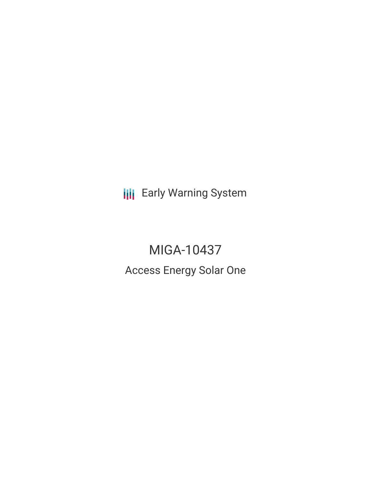**III** Early Warning System

MIGA-10437 Access Energy Solar One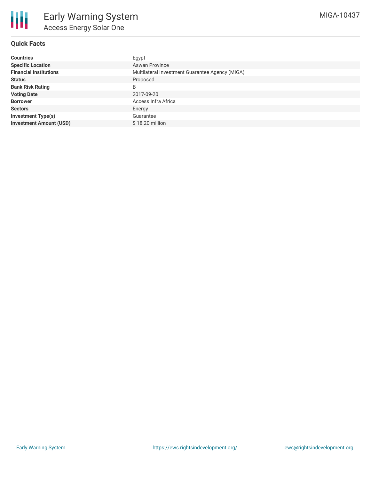

### **Quick Facts**

| <b>Countries</b>               | Egypt                                           |  |  |  |
|--------------------------------|-------------------------------------------------|--|--|--|
| <b>Specific Location</b>       | <b>Aswan Province</b>                           |  |  |  |
| <b>Financial Institutions</b>  | Multilateral Investment Guarantee Agency (MIGA) |  |  |  |
| <b>Status</b>                  | Proposed                                        |  |  |  |
| <b>Bank Risk Rating</b>        | B                                               |  |  |  |
| <b>Voting Date</b>             | 2017-09-20                                      |  |  |  |
| <b>Borrower</b>                | Access Infra Africa                             |  |  |  |
| <b>Sectors</b>                 | Energy                                          |  |  |  |
| <b>Investment Type(s)</b>      | Guarantee                                       |  |  |  |
| <b>Investment Amount (USD)</b> | \$18.20 million                                 |  |  |  |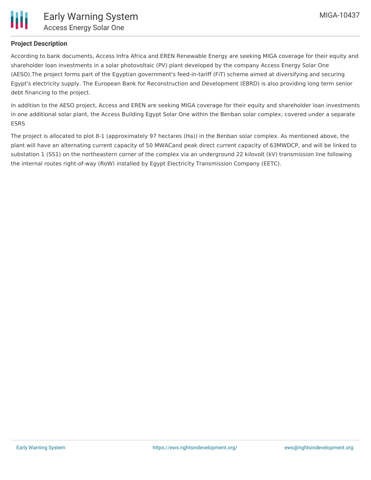

## **Project Description**

According to bank documents, Access Infra Africa and EREN Renewable Energy are seeking MIGA coverage for their equity and shareholder loan investments in a solar photovoltaic (PV) plant developed by the company Access Energy Solar One (AESO).The project forms part of the Egyptian government's feed-in-tariff (FiT) scheme aimed at diversifying and securing Egypt's electricity supply. The European Bank for Reconstruction and Development (EBRD) is also providing long term senior debt financing to the project.

In addition to the AESO project, Access and EREN are seeking MIGA coverage for their equity and shareholder loan investments in one additional solar plant, the Access Building Egypt Solar One within the Benban solar complex; covered under a separate ESRS

The project is allocated to plot 8-1 (approximately 97 hectares (Ha)) in the Benban solar complex. As mentioned above, the plant will have an alternating current capacity of 50 MWACand peak direct current capacity of 63MWDCP, and will be linked to substation 1 (SS1) on the northeastern corner of the complex via an underground 22 kilovolt (kV) transmission line following the internal routes right-of-way (RoW) installed by Egypt Electricity Transmission Company (EETC).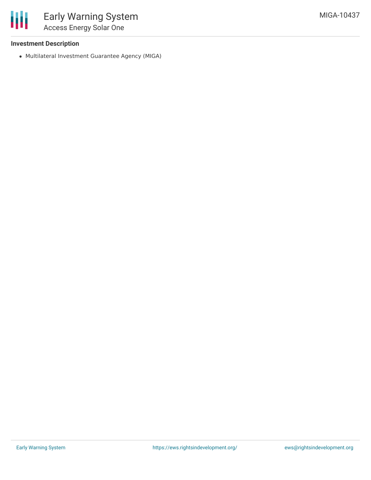

### **Investment Description**

Multilateral Investment Guarantee Agency (MIGA)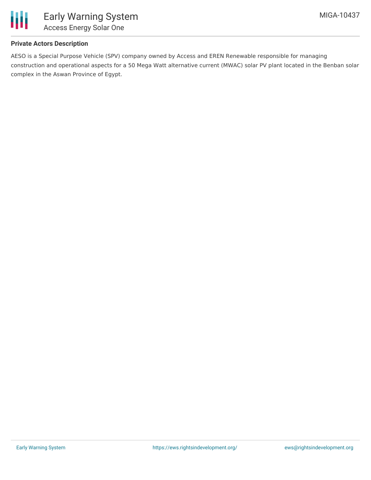

### **Private Actors Description**

AESO is a Special Purpose Vehicle (SPV) company owned by Access and EREN Renewable responsible for managing construction and operational aspects for a 50 Mega Watt alternative current (MWAC) solar PV plant located in the Benban solar complex in the Aswan Province of Egypt.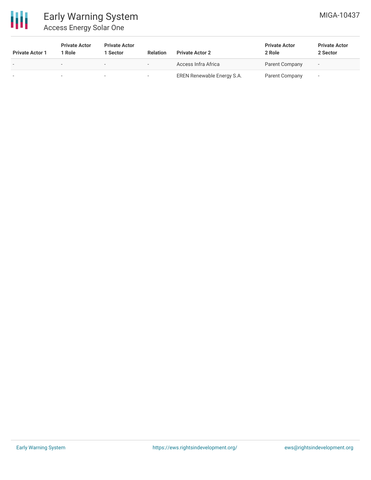

# Early Warning System Access Energy Solar One

| <b>Private Actor 1</b> | <b>Private Actor</b><br>Role | <b>Private Actor</b><br><b>Sector</b> | <b>Relation</b>          | <b>Private Actor 2</b>     | <b>Private Actor</b><br>2 Role | <b>Private Actor</b><br>2 Sector |
|------------------------|------------------------------|---------------------------------------|--------------------------|----------------------------|--------------------------------|----------------------------------|
|                        |                              | . .                                   | $\overline{\phantom{a}}$ | Access Infra Africa        | Parent Company                 | $\overline{\phantom{0}}$         |
|                        |                              |                                       |                          | EREN Renewable Energy S.A. | Parent Company                 | -                                |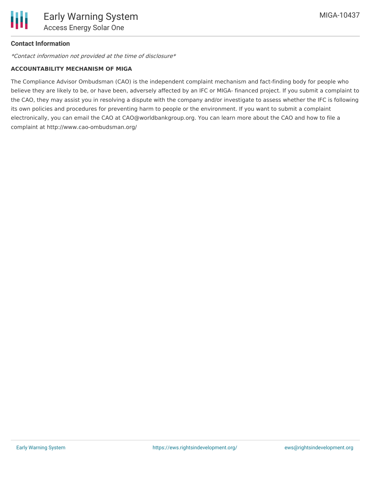

### **Contact Information**

\*Contact information not provided at the time of disclosure\*

#### **ACCOUNTABILITY MECHANISM OF MIGA**

The Compliance Advisor Ombudsman (CAO) is the independent complaint mechanism and fact-finding body for people who believe they are likely to be, or have been, adversely affected by an IFC or MIGA- financed project. If you submit a complaint to the CAO, they may assist you in resolving a dispute with the company and/or investigate to assess whether the IFC is following its own policies and procedures for preventing harm to people or the environment. If you want to submit a complaint electronically, you can email the CAO at CAO@worldbankgroup.org. You can learn more about the CAO and how to file a complaint at http://www.cao-ombudsman.org/